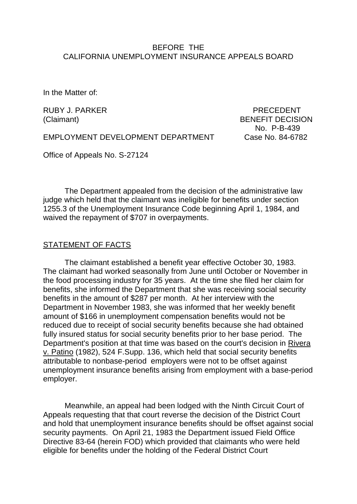### BEFORE THE CALIFORNIA UNEMPLOYMENT INSURANCE APPEALS BOARD

In the Matter of:

RUBY J. PARKER PRECEDENT

(Claimant) BENEFIT DECISION No. P-B-439

EMPLOYMENT DEVELOPMENT DEPARTMENT Case No. 84-6782

Office of Appeals No. S-27124

The Department appealed from the decision of the administrative law judge which held that the claimant was ineligible for benefits under section 1255.3 of the Unemployment Insurance Code beginning April 1, 1984, and waived the repayment of \$707 in overpayments.

#### STATEMENT OF FACTS

The claimant established a benefit year effective October 30, 1983. The claimant had worked seasonally from June until October or November in the food processing industry for 35 years. At the time she filed her claim for benefits, she informed the Department that she was receiving social security benefits in the amount of \$287 per month. At her interview with the Department in November 1983, she was informed that her weekly benefit amount of \$166 in unemployment compensation benefits would not be reduced due to receipt of social security benefits because she had obtained fully insured status for social security benefits prior to her base period. The Department's position at that time was based on the court's decision in Rivera v. Patino (1982), 524 F.Supp. 136, which held that social security benefits attributable to nonbase-period employers were not to be offset against unemployment insurance benefits arising from employment with a base-period employer.

Meanwhile, an appeal had been lodged with the Ninth Circuit Court of Appeals requesting that that court reverse the decision of the District Court and hold that unemployment insurance benefits should be offset against social security payments. On April 21, 1983 the Department issued Field Office Directive 83-64 (herein FOD) which provided that claimants who were held eligible for benefits under the holding of the Federal District Court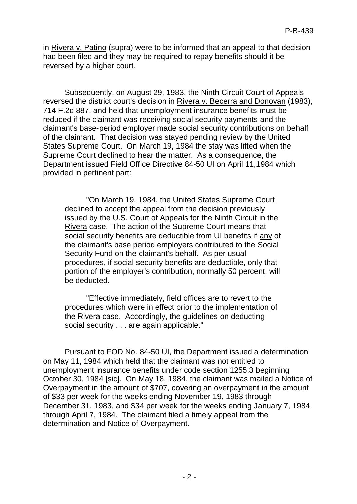in Rivera v. Patino (supra) were to be informed that an appeal to that decision had been filed and they may be required to repay benefits should it be reversed by a higher court.

Subsequently, on August 29, 1983, the Ninth Circuit Court of Appeals reversed the district court's decision in Rivera v. Becerra and Donovan (1983), 714 F.2d 887, and held that unemployment insurance benefits must be reduced if the claimant was receiving social security payments and the claimant's base-period employer made social security contributions on behalf of the claimant. That decision was stayed pending review by the United States Supreme Court. On March 19, 1984 the stay was lifted when the Supreme Court declined to hear the matter. As a consequence, the Department issued Field Office Directive 84-50 UI on April 11,1984 which provided in pertinent part:

"On March 19, 1984, the United States Supreme Court declined to accept the appeal from the decision previously issued by the U.S. Court of Appeals for the Ninth Circuit in the Rivera case. The action of the Supreme Court means that social security benefits are deductible from UI benefits if any of the claimant's base period employers contributed to the Social Security Fund on the claimant's behalf. As per usual procedures, if social security benefits are deductible, only that portion of the employer's contribution, normally 50 percent, will be deducted.

"Effective immediately, field offices are to revert to the procedures which were in effect prior to the implementation of the Rivera case. Accordingly, the guidelines on deducting social security . . . are again applicable."

Pursuant to FOD No. 84-50 UI, the Department issued a determination on May 11, 1984 which held that the claimant was not entitled to unemployment insurance benefits under code section 1255.3 beginning October 30, 1984 [sic]. On May 18, 1984, the claimant was mailed a Notice of Overpayment in the amount of \$707, covering an overpayment in the amount of \$33 per week for the weeks ending November 19, 1983 through December 31, 1983, and \$34 per week for the weeks ending January 7, 1984 through April 7, 1984. The claimant filed a timely appeal from the determination and Notice of Overpayment.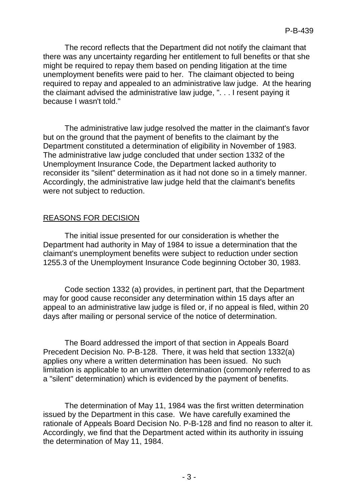The record reflects that the Department did not notify the claimant that there was any uncertainty regarding her entitlement to full benefits or that she might be required to repay them based on pending litigation at the time unemployment benefits were paid to her. The claimant objected to being required to repay and appealed to an administrative law judge. At the hearing the claimant advised the administrative law judge, ". . . I resent paying it because I wasn't told."

The administrative law judge resolved the matter in the claimant's favor but on the ground that the payment of benefits to the claimant by the Department constituted a determination of eligibility in November of 1983. The administrative law judge concluded that under section 1332 of the Unemployment Insurance Code, the Department lacked authority to reconsider its "silent" determination as it had not done so in a timely manner. Accordingly, the administrative law judge held that the claimant's benefits were not subject to reduction.

# REASONS FOR DECISION

The initial issue presented for our consideration is whether the Department had authority in May of 1984 to issue a determination that the claimant's unemployment benefits were subject to reduction under section 1255.3 of the Unemployment Insurance Code beginning October 30, 1983.

Code section 1332 (a) provides, in pertinent part, that the Department may for good cause reconsider any determination within 15 days after an appeal to an administrative law judge is filed or, if no appeal is filed, within 20 days after mailing or personal service of the notice of determination.

The Board addressed the import of that section in Appeals Board Precedent Decision No. P-B-128. There, it was held that section 1332(a) applies ony where a written determination has been issued. No such limitation is applicable to an unwritten determination (commonly referred to as a "silent" determination) which is evidenced by the payment of benefits.

The determination of May 11, 1984 was the first written determination issued by the Department in this case. We have carefully examined the rationale of Appeals Board Decision No. P-B-128 and find no reason to alter it. Accordingly, we find that the Department acted within its authority in issuing the determination of May 11, 1984.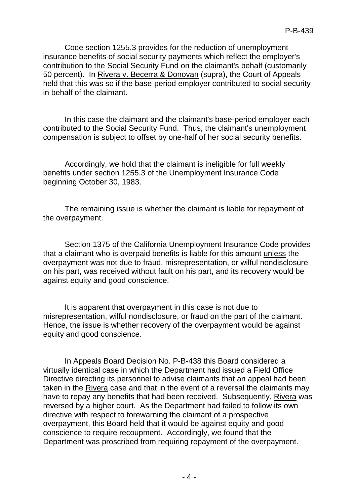Code section 1255.3 provides for the reduction of unemployment insurance benefits of social security payments which reflect the employer's contribution to the Social Security Fund on the claimant's behalf (customarily 50 percent). In Rivera v. Becerra & Donovan (supra), the Court of Appeals held that this was so if the base-period employer contributed to social security in behalf of the claimant.

In this case the claimant and the claimant's base-period employer each contributed to the Social Security Fund. Thus, the claimant's unemployment compensation is subject to offset by one-half of her social security benefits.

Accordingly, we hold that the claimant is ineligible for full weekly benefits under section 1255.3 of the Unemployment Insurance Code beginning October 30, 1983.

The remaining issue is whether the claimant is liable for repayment of the overpayment.

Section 1375 of the California Unemployment Insurance Code provides that a claimant who is overpaid benefits is liable for this amount unless the overpayment was not due to fraud, misrepresentation, or wilful nondisclosure on his part, was received without fault on his part, and its recovery would be against equity and good conscience.

It is apparent that overpayment in this case is not due to misrepresentation, wilful nondisclosure, or fraud on the part of the claimant. Hence, the issue is whether recovery of the overpayment would be against equity and good conscience.

In Appeals Board Decision No. P-B-438 this Board considered a virtually identical case in which the Department had issued a Field Office Directive directing its personnel to advise claimants that an appeal had been taken in the Rivera case and that in the event of a reversal the claimants may have to repay any benefits that had been received. Subsequently, Rivera was reversed by a higher court. As the Department had failed to follow its own directive with respect to forewarning the claimant of a prospective overpayment, this Board held that it would be against equity and good conscience to require recoupment. Accordingly, we found that the Department was proscribed from requiring repayment of the overpayment.